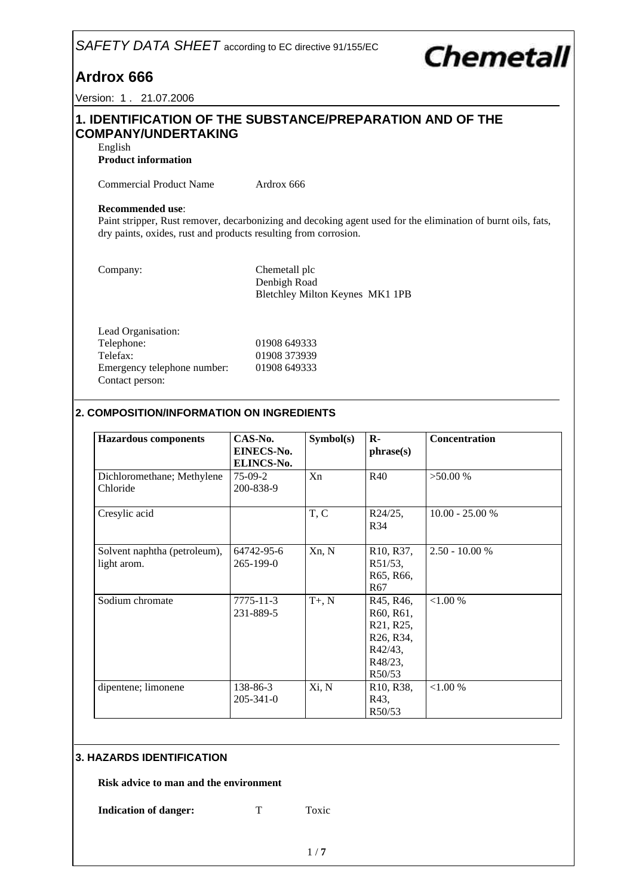# *SAFETY DATA SHEET* according to EC directive 91/155/EC

# **Chemetall**

**Ardrox 666**

Version: 1 . 21.07.2006

# **1. IDENTIFICATION OF THE SUBSTANCE/PREPARATION AND OF THE COMPANY/UNDERTAKING**

English

**Product information**

Commercial Product Name Ardrox 666

#### **Recommended use**:

Paint stripper, Rust remover, decarbonizing and decoking agent used for the elimination of burnt oils, fats, dry paints, oxides, rust and products resulting from corrosion.

Company: Chemetall plc Denbigh Road Bletchley Milton Keynes MK1 1PB

| Lead Organisation:          |              |
|-----------------------------|--------------|
| Telephone:                  | 01908 649333 |
| Telefax:                    | 01908 373939 |
| Emergency telephone number: | 01908 649333 |
| Contact person:             |              |

# **2. COMPOSITION/INFORMATION ON INGREDIENTS**

| <b>Hazardous</b> components                 | CAS-No.<br><b>EINECS-No.</b><br>ELINCS-No. | Symbol(s) | $\mathbf{R}$<br>phrase(s)                                                                                                            | Concentration     |
|---------------------------------------------|--------------------------------------------|-----------|--------------------------------------------------------------------------------------------------------------------------------------|-------------------|
| Dichloromethane; Methylene<br>Chloride      | $75-09-2$<br>200-838-9                     | Xn        | R40                                                                                                                                  | $>50.00\%$        |
| Cresylic acid                               |                                            | T, C      | $R24/25$ ,<br>R34                                                                                                                    | $10.00 - 25.00 %$ |
| Solvent naphtha (petroleum),<br>light arom. | 64742-95-6<br>265-199-0                    | Xn, N     | R <sub>10</sub> , R <sub>37</sub> ,<br>R51/53,<br>R65, R66,<br>R <sub>67</sub>                                                       | $2.50 - 10.00 %$  |
| Sodium chromate                             | 7775-11-3<br>231-889-5                     | $T+$ , N  | R45, R46,<br>R60, R61,<br>R <sub>21</sub> , R <sub>25</sub> ,<br>R <sub>26</sub> , R <sub>34</sub> ,<br>R42/43,<br>R48/23,<br>R50/53 | < 1.00 %          |
| dipentene; limonene                         | 138-86-3<br>$205 - 341 - 0$                | Xi, N     | R <sub>10</sub> , R <sub>38</sub> ,<br>R43,<br>R50/53                                                                                | ${<}1.00%$        |

# **3. HAZARDS IDENTIFICATION**

**Risk advice to man and the environment**

**Indication of danger:** T Toxic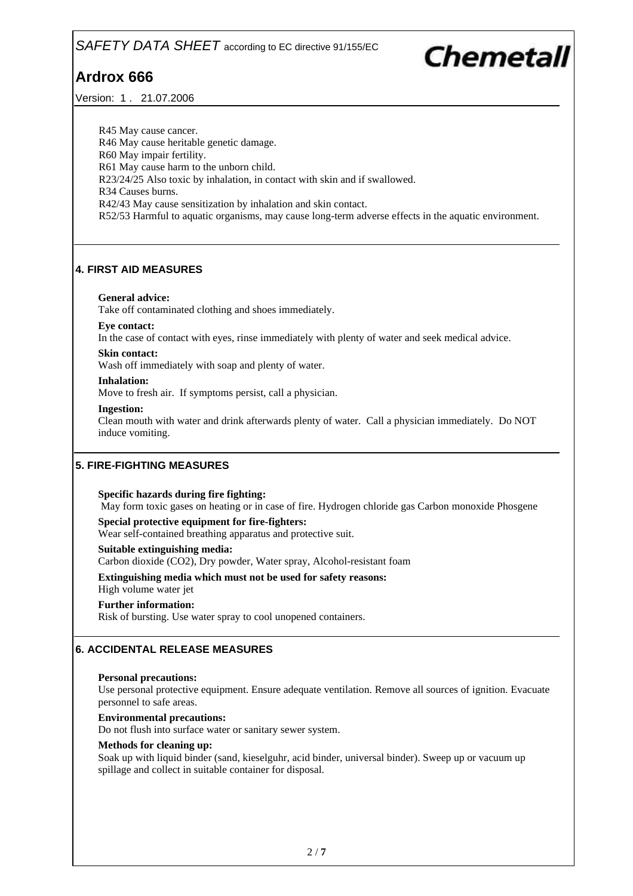Version: 1 . 21.07.2006

Chemetall

R45 May cause cancer. R46 May cause heritable genetic damage. R60 May impair fertility. R61 May cause harm to the unborn child. R23/24/25 Also toxic by inhalation, in contact with skin and if swallowed. R34 Causes burns. R42/43 May cause sensitization by inhalation and skin contact. R52/53 Harmful to aquatic organisms, may cause long-term adverse effects in the aquatic environment.

# **4. FIRST AID MEASURES**

#### **General advice:**

Take off contaminated clothing and shoes immediately.

#### **Eye contact:**

In the case of contact with eyes, rinse immediately with plenty of water and seek medical advice.

#### **Skin contact:**

Wash off immediately with soap and plenty of water.

#### **Inhalation:**

Move to fresh air. If symptoms persist, call a physician.

#### **Ingestion:**

Clean mouth with water and drink afterwards plenty of water. Call a physician immediately. Do NOT induce vomiting.

# **5. FIRE-FIGHTING MEASURES**

#### **Specific hazards during fire fighting:**

May form toxic gases on heating or in case of fire. Hydrogen chloride gas Carbon monoxide Phosgene

**Special protective equipment for fire-fighters:**

Wear self-contained breathing apparatus and protective suit.

#### **Suitable extinguishing media:**

Carbon dioxide (CO2), Dry powder, Water spray, Alcohol-resistant foam

**Extinguishing media which must not be used for safety reasons:**

High volume water jet

#### **Further information:**

Risk of bursting. Use water spray to cool unopened containers.

# **6. ACCIDENTAL RELEASE MEASURES**

#### **Personal precautions:**

Use personal protective equipment. Ensure adequate ventilation. Remove all sources of ignition. Evacuate personnel to safe areas.

#### **Environmental precautions:**

Do not flush into surface water or sanitary sewer system.

#### **Methods for cleaning up:**

Soak up with liquid binder (sand, kieselguhr, acid binder, universal binder). Sweep up or vacuum up spillage and collect in suitable container for disposal.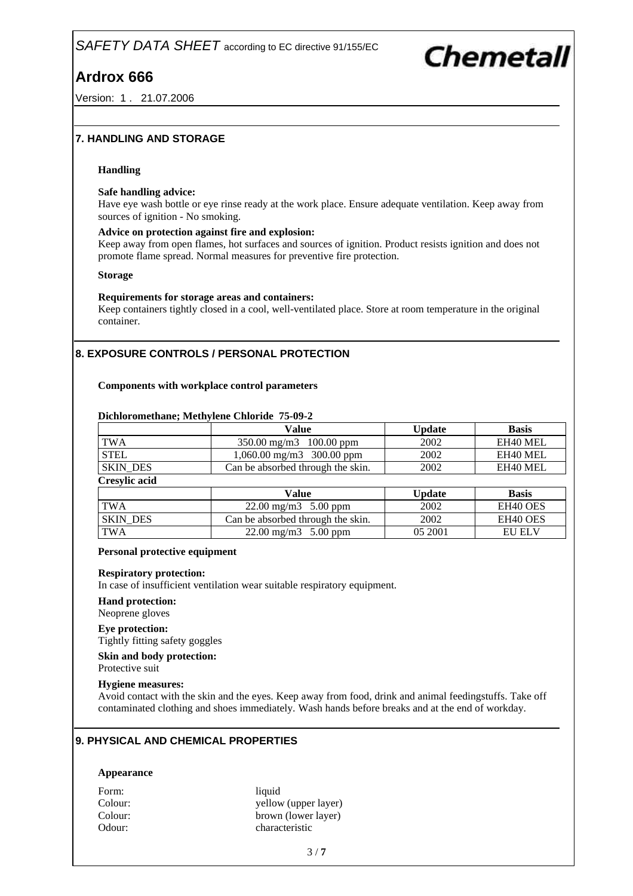Version: 1 . 21.07.2006

# Chemetall

## **7. HANDLING AND STORAGE**

#### **Handling**

#### **Safe handling advice:**

Have eye wash bottle or eye rinse ready at the work place. Ensure adequate ventilation. Keep away from sources of ignition - No smoking.

#### **Advice on protection against fire and explosion:**

Keep away from open flames, hot surfaces and sources of ignition. Product resists ignition and does not promote flame spread. Normal measures for preventive fire protection.

#### **Storage**

#### **Requirements for storage areas and containers:**

Keep containers tightly closed in a cool, well-ventilated place. Store at room temperature in the original container.

# **8. EXPOSURE CONTROLS / PERSONAL PROTECTION**

#### **Components with workplace control parameters**

#### **Dichloromethane; Methylene Chloride 75-09-2**

|                      | <b>Value</b>                      | <b>Update</b> | <b>Basis</b>         |
|----------------------|-----------------------------------|---------------|----------------------|
| <b>TWA</b>           | 350.00 mg/m3 100.00 ppm           | 2002          | EH40 MEL             |
| <b>STEL</b>          | 1,060.00 mg/m3 300.00 ppm         | 2002          | EH40 MEL             |
| <b>SKIN DES</b>      | Can be absorbed through the skin. | 2002          | EH40 MEL             |
| <b>Cresylic acid</b> |                                   |               |                      |
|                      | <b>Value</b>                      | <b>Update</b> | <b>Basis</b>         |
| <b>TWA</b>           | $22.00 \text{ mg/m}3$ 5.00 ppm    | 2002          | EH <sub>40</sub> OES |
| <b>SKIN DES</b>      | Can be absorbed through the skin. | 2002          | EH40 OES             |
| <b>TWA</b>           | $22.00 \text{ mg/m}3$ 5.00 ppm    | 05 2001       | <b>EU ELV</b>        |

#### **Personal protective equipment**

#### **Respiratory protection:**

In case of insufficient ventilation wear suitable respiratory equipment.

#### **Hand protection:**

Neoprene gloves

## **Eye protection:**

Tightly fitting safety goggles

**Skin and body protection:**

Protective suit

#### **Hygiene measures:**

Avoid contact with the skin and the eyes. Keep away from food, drink and animal feedingstuffs. Take off contaminated clothing and shoes immediately. Wash hands before breaks and at the end of workday.

## **9. PHYSICAL AND CHEMICAL PROPERTIES**

#### **Appearance**

Form: liquid Colour: yellow (upper layer) Colour: brown (lower layer) Odour: characteristic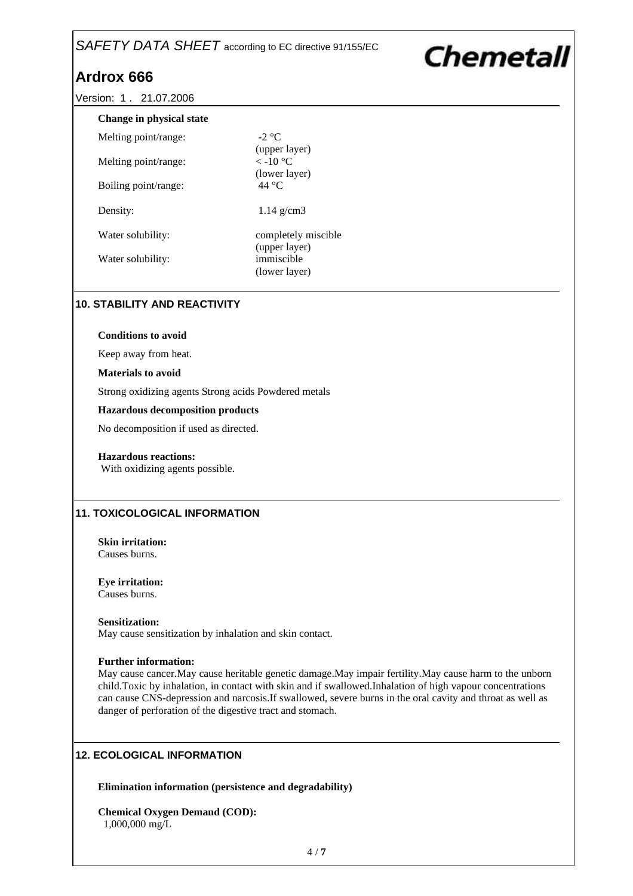# SAFETY DATA SHEET according to EC directive 91/155/EC

# **Ardrox 666**

Versio

| ion: 1. 21.07.2006       |                                                  |  |
|--------------------------|--------------------------------------------------|--|
| Change in physical state |                                                  |  |
| Melting point/range:     | $-2$ °C                                          |  |
| Melting point/range:     | (upper layer)<br>$\rm <$ -10 °C<br>(lower layer) |  |
| Boiling point/range:     | 44 $^{\circ}$ C                                  |  |
| Density:                 | $1.14$ g/cm3                                     |  |
| Water solubility:        | completely miscible<br>(upper layer)             |  |
| Water solubility:        | immiscible<br>(lower layer)                      |  |

**Chemetall** 

## **10. STABILITY AND REACTIVITY**

#### **Conditions to avoid**

Keep away from heat.

#### **Materials to avoid**

Strong oxidizing agents Strong acids Powdered metals

#### **Hazardous decomposition products**

No decomposition if used as directed.

#### **Hazardous reactions:**

With oxidizing agents possible.

## **11. TOXICOLOGICAL INFORMATION**

**Skin irritation:** Causes burns.

**Eye irritation:** Causes burns.

#### **Sensitization:**

May cause sensitization by inhalation and skin contact.

#### **Further information:**

May cause cancer.May cause heritable genetic damage.May impair fertility.May cause harm to the unborn child.Toxic by inhalation, in contact with skin and if swallowed.Inhalation of high vapour concentrations can cause CNS-depression and narcosis.If swallowed, severe burns in the oral cavity and throat as well as danger of perforation of the digestive tract and stomach.

## **12. ECOLOGICAL INFORMATION**

**Elimination information (persistence and degradability)**

**Chemical Oxygen Demand (COD):** 1,000,000 mg/L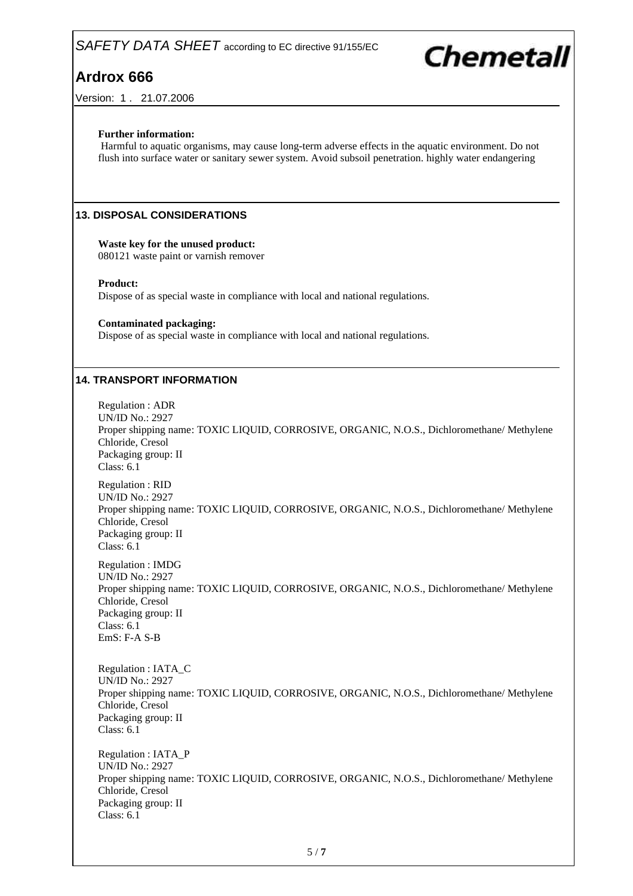

Version: 1 . 21.07.2006

## **Further information:**

Harmful to aquatic organisms, may cause long-term adverse effects in the aquatic environment. Do not flush into surface water or sanitary sewer system. Avoid subsoil penetration. highly water endangering

## **13. DISPOSAL CONSIDERATIONS**

# **Waste key for the unused product:**

080121 waste paint or varnish remover

#### **Product:**

Dispose of as special waste in compliance with local and national regulations.

#### **Contaminated packaging:**

Dispose of as special waste in compliance with local and national regulations.

## **14. TRANSPORT INFORMATION**

Regulation : ADR UN/ID No.: 2927 Proper shipping name: TOXIC LIQUID, CORROSIVE, ORGANIC, N.O.S., Dichloromethane/ Methylene Chloride, Cresol Packaging group: II Class: 6.1 Regulation : RID UN/ID No.: 2927 Proper shipping name: TOXIC LIQUID, CORROSIVE, ORGANIC, N.O.S., Dichloromethane/ Methylene Chloride, Cresol Packaging group: II Class: 6.1

Regulation : IMDG UN/ID No.: 2927 Proper shipping name: TOXIC LIQUID, CORROSIVE, ORGANIC, N.O.S., Dichloromethane/ Methylene Chloride, Cresol Packaging group: II Class: 6.1 EmS: F-A S-B

Regulation : IATA\_C UN/ID No.: 2927 Proper shipping name: TOXIC LIQUID, CORROSIVE, ORGANIC, N.O.S., Dichloromethane/ Methylene Chloride, Cresol Packaging group: II Class: 6.1

Regulation : IATA\_P UN/ID No.: 2927 Proper shipping name: TOXIC LIQUID, CORROSIVE, ORGANIC, N.O.S., Dichloromethane/ Methylene Chloride, Cresol Packaging group: II Class: 6.1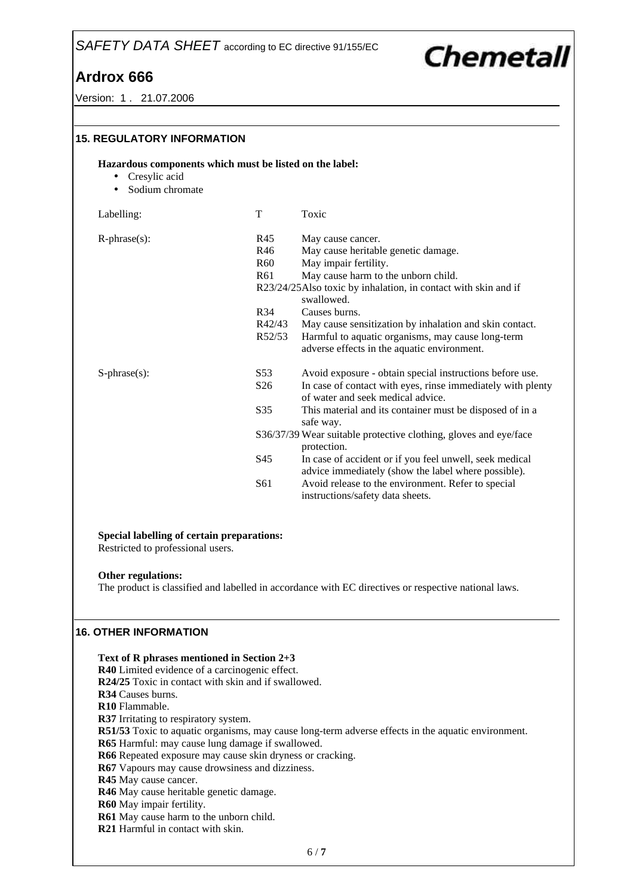# **Chemetall**

Version: 1 . 21.07.2006

| <b>15. REGULATORY INFORMATION</b>                                                                        |                 |                                                                                                  |
|----------------------------------------------------------------------------------------------------------|-----------------|--------------------------------------------------------------------------------------------------|
| Hazardous components which must be listed on the label:<br>Cresylic acid<br>$\bullet$<br>Sodium chromate |                 |                                                                                                  |
| Labelling:                                                                                               | T               | Toxic                                                                                            |
| $R$ -phrase $(s)$ :                                                                                      | R45             | May cause cancer.                                                                                |
|                                                                                                          | R46             | May cause heritable genetic damage.                                                              |
|                                                                                                          | <b>R60</b>      | May impair fertility.                                                                            |
|                                                                                                          | R61             | May cause harm to the unborn child.                                                              |
|                                                                                                          |                 | R23/24/25Also toxic by inhalation, in contact with skin and if<br>swallowed.                     |
|                                                                                                          | R34             | Causes burns.                                                                                    |
|                                                                                                          | R42/43          | May cause sensitization by inhalation and skin contact.                                          |
|                                                                                                          | R52/53          | Harmful to aquatic organisms, may cause long-term<br>adverse effects in the aquatic environment. |
| $S$ -phrase $(s)$ :                                                                                      | S53             | Avoid exposure - obtain special instructions before use.                                         |
|                                                                                                          | S <sub>26</sub> | In case of contact with eyes, rinse immediately with plenty<br>of water and seek medical advice. |
|                                                                                                          | S35             | This material and its container must be disposed of in a<br>safe way.                            |
|                                                                                                          |                 | S36/37/39 Wear suitable protective clothing, gloves and eye/face<br>protection.                  |
|                                                                                                          | S45             | In case of accident or if you feel unwell, seek medical                                          |
|                                                                                                          |                 | advice immediately (show the label where possible).                                              |
|                                                                                                          | S61             | Avoid release to the environment. Refer to special<br>instructions/safety data sheets.           |

#### **Special labelling of certain preparations:**

Restricted to professional users.

#### **Other regulations:**

The product is classified and labelled in accordance with EC directives or respective national laws.

## **16. OTHER INFORMATION**

**Text of R phrases mentioned in Section 2+3 R40** Limited evidence of a carcinogenic effect. **R24/25** Toxic in contact with skin and if swallowed. **R34** Causes burns. **R10** Flammable. **R37** Irritating to respiratory system. **R51/53** Toxic to aquatic organisms, may cause long-term adverse effects in the aquatic environment. **R65** Harmful: may cause lung damage if swallowed. **R66** Repeated exposure may cause skin dryness or cracking. **R67** Vapours may cause drowsiness and dizziness. **R45** May cause cancer. **R46** May cause heritable genetic damage. **R60** May impair fertility. **R61** May cause harm to the unborn child. **R21** Harmful in contact with skin.